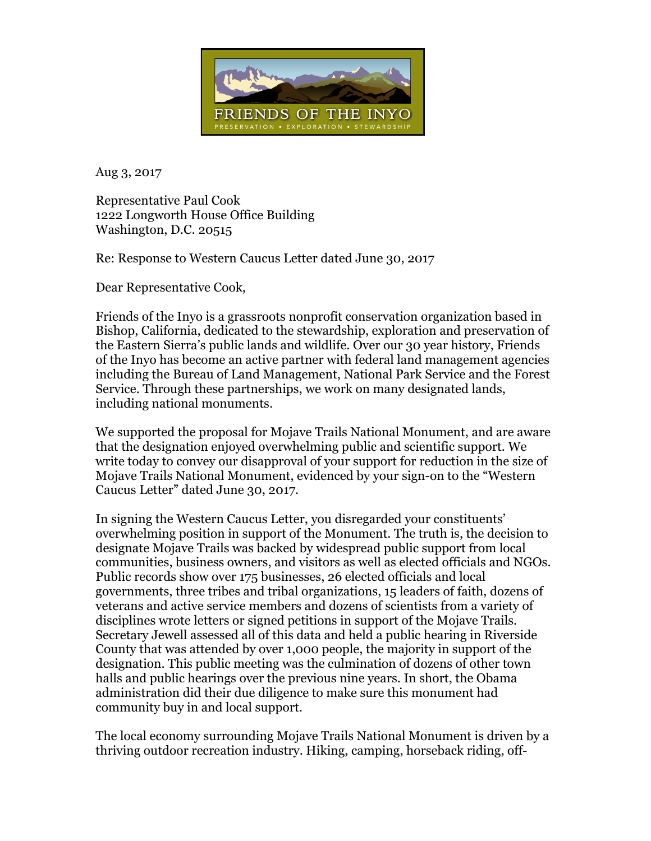

Aug 3, 2017

Representative Paul Cook 1222 Longworth House Office Building Washington, D.C. 20515

Re: Response to Western Caucus Letter dated June 30, 2017

Dear Representative Cook,

Friends of the Inyo is a grassroots nonprofit conservation organization based in Bishop, California, dedicated to the stewardship, exploration and preservation of the Eastern Sierra's public lands and wildlife. Over our 30 year history, Friends of the Inyo has become an active partner with federal land management agencies including the Bureau of Land Management, National Park Service and the Forest Service. Through these partnerships, we work on many designated lands, including national monuments.

We supported the proposal for Mojave Trails National Monument, and are aware that the designation enjoyed overwhelming public and scientific support. We write today to convey our disapproval of your support for reduction in the size of Mojave Trails National Monument, evidenced by your sign-on to the "Western Caucus Letter" dated June 30, 2017.

In signing the Western Caucus Letter, you disregarded your constituents' overwhelming position in support of the Monument. The truth is, the decision to designate Mojave Trails was backed by widespread public support from local communities, business owners, and visitors as well as elected officials and NGOs. Public records show over 175 businesses, 26 elected officials and local governments, three tribes and tribal organizations, 15 leaders of faith, dozens of veterans and active service members and dozens of scientists from a variety of disciplines wrote letters or signed petitions in support of the Mojave Trails. Secretary Jewell assessed all of this data and held a public hearing in Riverside County that was attended by over 1,000 people, the majority in support of the designation. This public meeting was the culmination of dozens of other town halls and public hearings over the previous nine years. In short, the Obama administration did their due diligence to make sure this monument had community buy in and local support.

The local economy surrounding Mojave Trails National Monument is driven by a thriving outdoor recreation industry. Hiking, camping, horseback riding, off